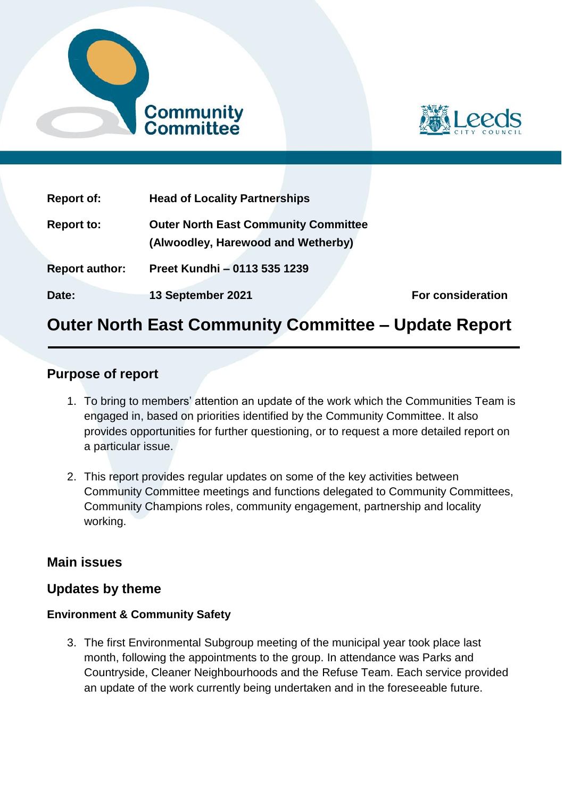



| <b>Report of:</b>     | <b>Head of Locality Partnerships</b>                                              |                          |
|-----------------------|-----------------------------------------------------------------------------------|--------------------------|
| <b>Report to:</b>     | <b>Outer North East Community Committee</b><br>(Alwoodley, Harewood and Wetherby) |                          |
| <b>Report author:</b> | Preet Kundhi - 0113 535 1239                                                      |                          |
| Date:                 | 13 September 2021                                                                 | <b>For consideration</b> |

# **Outer North East Community Committee – Update Report**

# **Purpose of report**

- 1. To bring to members' attention an update of the work which the Communities Team is engaged in, based on priorities identified by the Community Committee. It also provides opportunities for further questioning, or to request a more detailed report on a particular issue.
- 2. This report provides regular updates on some of the key activities between Community Committee meetings and functions delegated to Community Committees, Community Champions roles, community engagement, partnership and locality working.

# **Main issues**

# **Updates by theme**

#### **Environment & Community Safety**

3. The first Environmental Subgroup meeting of the municipal year took place last month, following the appointments to the group. In attendance was Parks and Countryside, Cleaner Neighbourhoods and the Refuse Team. Each service provided an update of the work currently being undertaken and in the foreseeable future.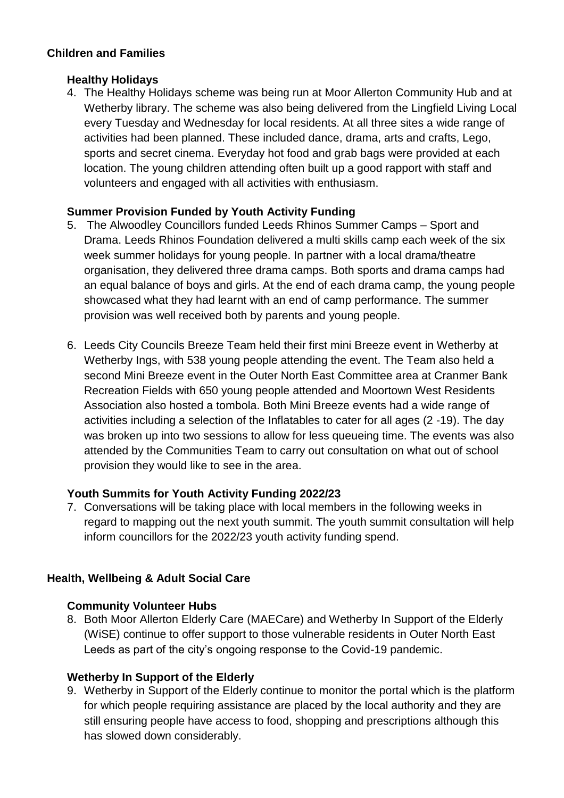#### **Children and Families**

#### **Healthy Holidays**

4. The Healthy Holidays scheme was being run at Moor Allerton Community Hub and at Wetherby library. The scheme was also being delivered from the Lingfield Living Local every Tuesday and Wednesday for local residents. At all three sites a wide range of activities had been planned. These included dance, drama, arts and crafts, Lego, sports and secret cinema. Everyday hot food and grab bags were provided at each location. The young children attending often built up a good rapport with staff and volunteers and engaged with all activities with enthusiasm.

# **Summer Provision Funded by Youth Activity Funding**

- 5. The Alwoodley Councillors funded Leeds Rhinos Summer Camps Sport and Drama. Leeds Rhinos Foundation delivered a multi skills camp each week of the six week summer holidays for young people. In partner with a local drama/theatre organisation, they delivered three drama camps. Both sports and drama camps had an equal balance of boys and girls. At the end of each drama camp, the young people showcased what they had learnt with an end of camp performance. The summer provision was well received both by parents and young people.
- 6. Leeds City Councils Breeze Team held their first mini Breeze event in Wetherby at Wetherby Ings, with 538 young people attending the event. The Team also held a second Mini Breeze event in the Outer North East Committee area at Cranmer Bank Recreation Fields with 650 young people attended and Moortown West Residents Association also hosted a tombola. Both Mini Breeze events had a wide range of activities including a selection of the Inflatables to cater for all ages (2 -19). The day was broken up into two sessions to allow for less queueing time. The events was also attended by the Communities Team to carry out consultation on what out of school provision they would like to see in the area.

# **Youth Summits for Youth Activity Funding 2022/23**

7. Conversations will be taking place with local members in the following weeks in regard to mapping out the next youth summit. The youth summit consultation will help inform councillors for the 2022/23 youth activity funding spend.

# **Health, Wellbeing & Adult Social Care**

# **Community Volunteer Hubs**

8. Both Moor Allerton Elderly Care (MAECare) and Wetherby In Support of the Elderly (WiSE) continue to offer support to those vulnerable residents in Outer North East Leeds as part of the city's ongoing response to the Covid-19 pandemic.

# **Wetherby In Support of the Elderly**

9. Wetherby in Support of the Elderly continue to monitor the portal which is the platform for which people requiring assistance are placed by the local authority and they are still ensuring people have access to food, shopping and prescriptions although this has slowed down considerably.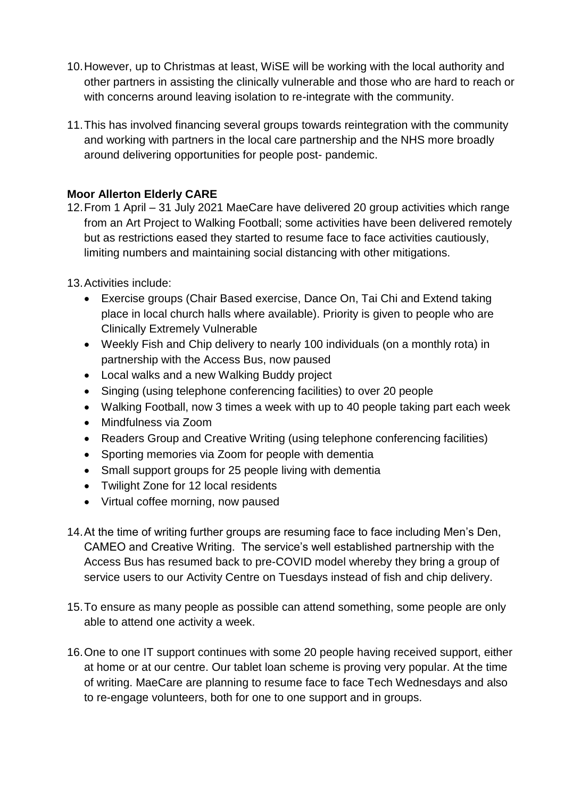- 10.However, up to Christmas at least, WiSE will be working with the local authority and other partners in assisting the clinically vulnerable and those who are hard to reach or with concerns around leaving isolation to re-integrate with the community.
- 11.This has involved financing several groups towards reintegration with the community and working with partners in the local care partnership and the NHS more broadly around delivering opportunities for people post- pandemic.

### **Moor Allerton Elderly CARE**

- 12.From 1 April 31 July 2021 MaeCare have delivered 20 group activities which range from an Art Project to Walking Football; some activities have been delivered remotely but as restrictions eased they started to resume face to face activities cautiously, limiting numbers and maintaining social distancing with other mitigations.
- 13.Activities include:
	- Exercise groups (Chair Based exercise, Dance On, Tai Chi and Extend taking place in local church halls where available). Priority is given to people who are Clinically Extremely Vulnerable
	- Weekly Fish and Chip delivery to nearly 100 individuals (on a monthly rota) in partnership with the Access Bus, now paused
	- Local walks and a new Walking Buddy project
	- Singing (using telephone conferencing facilities) to over 20 people
	- Walking Football, now 3 times a week with up to 40 people taking part each week
	- Mindfulness via Zoom
	- Readers Group and Creative Writing (using telephone conferencing facilities)
	- Sporting memories via Zoom for people with dementia
	- Small support groups for 25 people living with dementia
	- Twilight Zone for 12 local residents
	- Virtual coffee morning, now paused
- 14.At the time of writing further groups are resuming face to face including Men's Den, CAMEO and Creative Writing. The service's well established partnership with the Access Bus has resumed back to pre-COVID model whereby they bring a group of service users to our Activity Centre on Tuesdays instead of fish and chip delivery.
- 15.To ensure as many people as possible can attend something, some people are only able to attend one activity a week.
- 16.One to one IT support continues with some 20 people having received support, either at home or at our centre. Our tablet loan scheme is proving very popular. At the time of writing. MaeCare are planning to resume face to face Tech Wednesdays and also to re-engage volunteers, both for one to one support and in groups.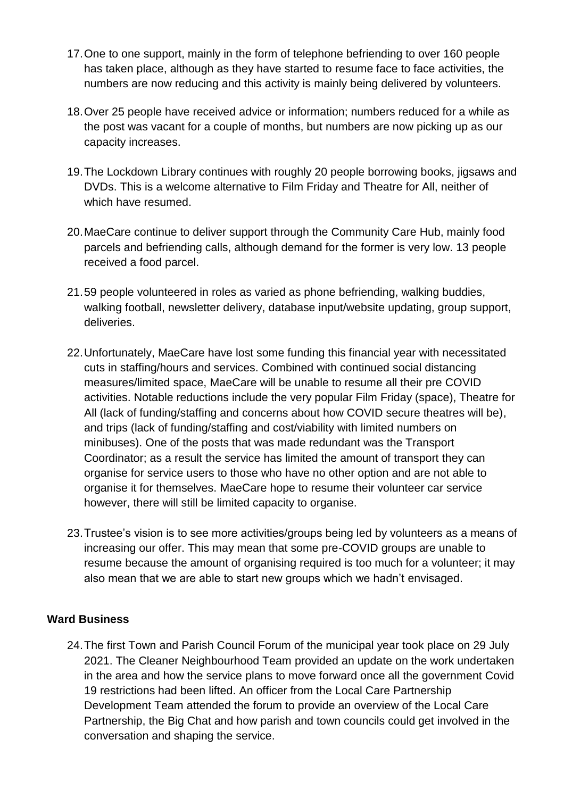- 17.One to one support, mainly in the form of telephone befriending to over 160 people has taken place, although as they have started to resume face to face activities, the numbers are now reducing and this activity is mainly being delivered by volunteers.
- 18.Over 25 people have received advice or information; numbers reduced for a while as the post was vacant for a couple of months, but numbers are now picking up as our capacity increases.
- 19.The Lockdown Library continues with roughly 20 people borrowing books, jigsaws and DVDs. This is a welcome alternative to Film Friday and Theatre for All, neither of which have resumed.
- 20.MaeCare continue to deliver support through the Community Care Hub, mainly food parcels and befriending calls, although demand for the former is very low. 13 people received a food parcel.
- 21.59 people volunteered in roles as varied as phone befriending, walking buddies, walking football, newsletter delivery, database input/website updating, group support, deliveries.
- 22.Unfortunately, MaeCare have lost some funding this financial year with necessitated cuts in staffing/hours and services. Combined with continued social distancing measures/limited space, MaeCare will be unable to resume all their pre COVID activities. Notable reductions include the very popular Film Friday (space), Theatre for All (lack of funding/staffing and concerns about how COVID secure theatres will be), and trips (lack of funding/staffing and cost/viability with limited numbers on minibuses). One of the posts that was made redundant was the Transport Coordinator; as a result the service has limited the amount of transport they can organise for service users to those who have no other option and are not able to organise it for themselves. MaeCare hope to resume their volunteer car service however, there will still be limited capacity to organise.
- 23.Trustee's vision is to see more activities/groups being led by volunteers as a means of increasing our offer. This may mean that some pre-COVID groups are unable to resume because the amount of organising required is too much for a volunteer; it may also mean that we are able to start new groups which we hadn't envisaged.

#### **Ward Business**

24.The first Town and Parish Council Forum of the municipal year took place on 29 July 2021. The Cleaner Neighbourhood Team provided an update on the work undertaken in the area and how the service plans to move forward once all the government Covid 19 restrictions had been lifted. An officer from the Local Care Partnership Development Team attended the forum to provide an overview of the Local Care Partnership, the Big Chat and how parish and town councils could get involved in the conversation and shaping the service.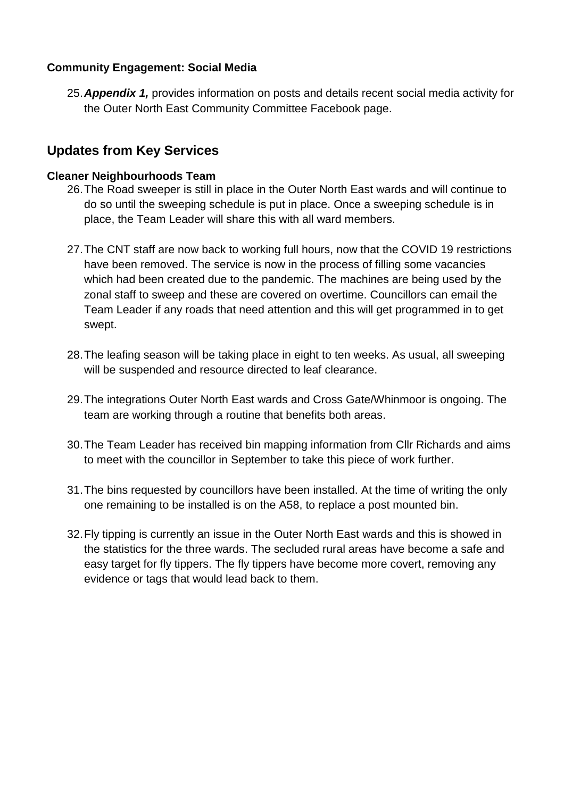#### **Community Engagement: Social Media**

25.*Appendix 1,* provides information on posts and details recent social media activity for the Outer North East Community Committee Facebook page.

# **Updates from Key Services**

#### **Cleaner Neighbourhoods Team**

- 26.The Road sweeper is still in place in the Outer North East wards and will continue to do so until the sweeping schedule is put in place. Once a sweeping schedule is in place, the Team Leader will share this with all ward members.
- 27.The CNT staff are now back to working full hours, now that the COVID 19 restrictions have been removed. The service is now in the process of filling some vacancies which had been created due to the pandemic. The machines are being used by the zonal staff to sweep and these are covered on overtime. Councillors can email the Team Leader if any roads that need attention and this will get programmed in to get swept.
- 28.The leafing season will be taking place in eight to ten weeks. As usual, all sweeping will be suspended and resource directed to leaf clearance.
- 29.The integrations Outer North East wards and Cross Gate/Whinmoor is ongoing. The team are working through a routine that benefits both areas.
- 30.The Team Leader has received bin mapping information from Cllr Richards and aims to meet with the councillor in September to take this piece of work further.
- 31.The bins requested by councillors have been installed. At the time of writing the only one remaining to be installed is on the A58, to replace a post mounted bin.
- 32.Fly tipping is currently an issue in the Outer North East wards and this is showed in the statistics for the three wards. The secluded rural areas have become a safe and easy target for fly tippers. The fly tippers have become more covert, removing any evidence or tags that would lead back to them.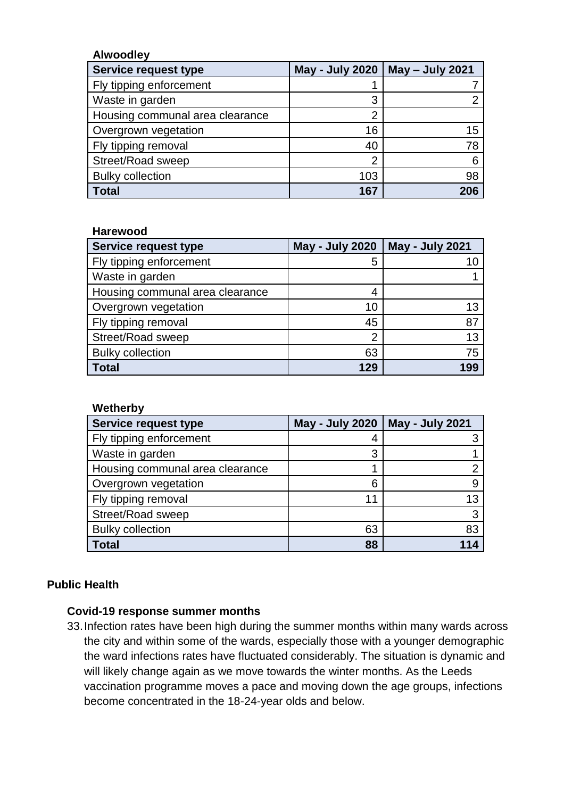#### **Alwoodley**

| Service request type            | <b>May - July 2020</b> | May - July 2021 |
|---------------------------------|------------------------|-----------------|
| Fly tipping enforcement         |                        |                 |
| Waste in garden                 | 3                      |                 |
| Housing communal area clearance | 2                      |                 |
| Overgrown vegetation            | 16                     | 15              |
| Fly tipping removal             | 40                     | 78              |
| Street/Road sweep               | $\overline{2}$         |                 |
| <b>Bulky collection</b>         | 103                    | 98              |
| <b>Total</b>                    | 167                    | 206             |

#### **Harewood**

| <b>Service request type</b>     | <b>May - July 2020</b> | <b>May - July 2021</b> |
|---------------------------------|------------------------|------------------------|
| Fly tipping enforcement         | 5                      |                        |
| Waste in garden                 |                        |                        |
| Housing communal area clearance | 4                      |                        |
| Overgrown vegetation            | 10                     | 13                     |
| Fly tipping removal             | 45                     | 87                     |
| Street/Road sweep               | $\overline{2}$         | 13                     |
| <b>Bulky collection</b>         | 63                     | 75                     |
| <b>Total</b>                    | 129                    | 199                    |

| Wetherby                        |                        |                        |  |
|---------------------------------|------------------------|------------------------|--|
| Service request type            | <b>May - July 2020</b> | <b>May - July 2021</b> |  |
| Fly tipping enforcement         | 4                      |                        |  |
| Waste in garden                 | 3                      |                        |  |
| Housing communal area clearance | ◀                      |                        |  |
| Overgrown vegetation            | 6                      | 9                      |  |
| Fly tipping removal             | 11                     | 13                     |  |
| Street/Road sweep               |                        | 3                      |  |
| <b>Bulky collection</b>         | 63                     | 83                     |  |
| Total                           | 88                     |                        |  |

#### **Public Health**

#### **Covid-19 response summer months**

33.Infection rates have been high during the summer months within many wards across the city and within some of the wards, especially those with a younger demographic the ward infections rates have fluctuated considerably. The situation is dynamic and will likely change again as we move towards the winter months. As the Leeds vaccination programme moves a pace and moving down the age groups, infections become concentrated in the 18-24-year olds and below.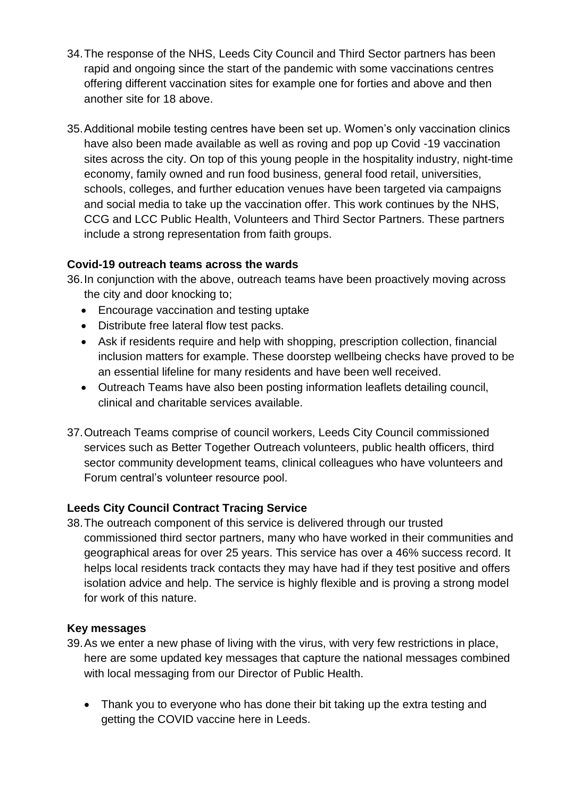- 34.The response of the NHS, Leeds City Council and Third Sector partners has been rapid and ongoing since the start of the pandemic with some vaccinations centres offering different vaccination sites for example one for forties and above and then another site for 18 above.
- 35.Additional mobile testing centres have been set up. Women's only vaccination clinics have also been made available as well as roving and pop up Covid -19 vaccination sites across the city. On top of this young people in the hospitality industry, night-time economy, family owned and run food business, general food retail, universities, schools, colleges, and further education venues have been targeted via campaigns and social media to take up the vaccination offer. This work continues by the NHS, CCG and LCC Public Health, Volunteers and Third Sector Partners. These partners include a strong representation from faith groups.

# **Covid-19 outreach teams across the wards**

36.In conjunction with the above, outreach teams have been proactively moving across the city and door knocking to;

- Encourage vaccination and testing uptake
- Distribute free lateral flow test packs.
- Ask if residents require and help with shopping, prescription collection, financial inclusion matters for example. These doorstep wellbeing checks have proved to be an essential lifeline for many residents and have been well received.
- Outreach Teams have also been posting information leaflets detailing council, clinical and charitable services available.
- 37.Outreach Teams comprise of council workers, Leeds City Council commissioned services such as Better Together Outreach volunteers, public health officers, third sector community development teams, clinical colleagues who have volunteers and Forum central's volunteer resource pool.

#### **Leeds City Council Contract Tracing Service**

38.The outreach component of this service is delivered through our trusted commissioned third sector partners, many who have worked in their communities and geographical areas for over 25 years. This service has over a 46% success record. It helps local residents track contacts they may have had if they test positive and offers isolation advice and help. The service is highly flexible and is proving a strong model for work of this nature.

#### **Key messages**

- 39.As we enter a new phase of living with the virus, with very few restrictions in place, here are some updated key messages that capture the national messages combined with local messaging from our Director of Public Health.
	- Thank you to everyone who has done their bit taking up the extra testing and getting the COVID vaccine here in Leeds.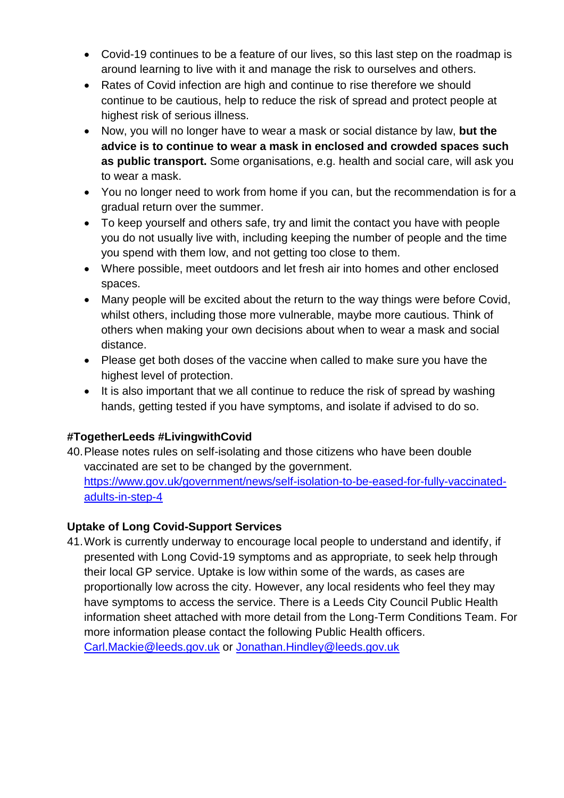- Covid-19 continues to be a feature of our lives, so this last step on the roadmap is around learning to live with it and manage the risk to ourselves and others.
- Rates of Covid infection are high and continue to rise therefore we should continue to be cautious, help to reduce the risk of spread and protect people at highest risk of serious illness.
- Now, you will no longer have to wear a mask or social distance by law, **but the advice is to continue to wear a mask in enclosed and crowded spaces such as public transport.** Some organisations, e.g. health and social care, will ask you to wear a mask.
- You no longer need to work from home if you can, but the recommendation is for a gradual return over the summer.
- To keep yourself and others safe, try and limit the contact you have with people you do not usually live with, including keeping the number of people and the time you spend with them low, and not getting too close to them.
- Where possible, meet outdoors and let fresh air into homes and other enclosed spaces.
- Many people will be excited about the return to the way things were before Covid, whilst others, including those more vulnerable, maybe more cautious. Think of others when making your own decisions about when to wear a mask and social distance.
- Please get both doses of the vaccine when called to make sure you have the highest level of protection.
- It is also important that we all continue to reduce the risk of spread by washing hands, getting tested if you have symptoms, and isolate if advised to do so.

# **#TogetherLeeds #LivingwithCovid**

40.Please notes rules on self-isolating and those citizens who have been double vaccinated are set to be changed by the government. [https://www.gov.uk/government/news/self-isolation-to-be-eased-for-fully-vaccinated](https://www.gov.uk/government/news/self-isolation-to-be-eased-for-fully-vaccinated-adults-in-step-4)[adults-in-step-4](https://www.gov.uk/government/news/self-isolation-to-be-eased-for-fully-vaccinated-adults-in-step-4)

# **Uptake of Long Covid-Support Services**

41.Work is currently underway to encourage local people to understand and identify, if presented with Long Covid-19 symptoms and as appropriate, to seek help through their local GP service. Uptake is low within some of the wards, as cases are proportionally low across the city. However, any local residents who feel they may have symptoms to access the service. There is a Leeds City Council Public Health information sheet attached with more detail from the Long-Term Conditions Team. For more information please contact the following Public Health officers. [Carl.Mackie@leeds.gov.uk](mailto:Carl.Mackie@leeds.gov.uk) or [Jonathan.Hindley@leeds.gov.uk](mailto:Jonathan.Hindley@leeds.gov.uk)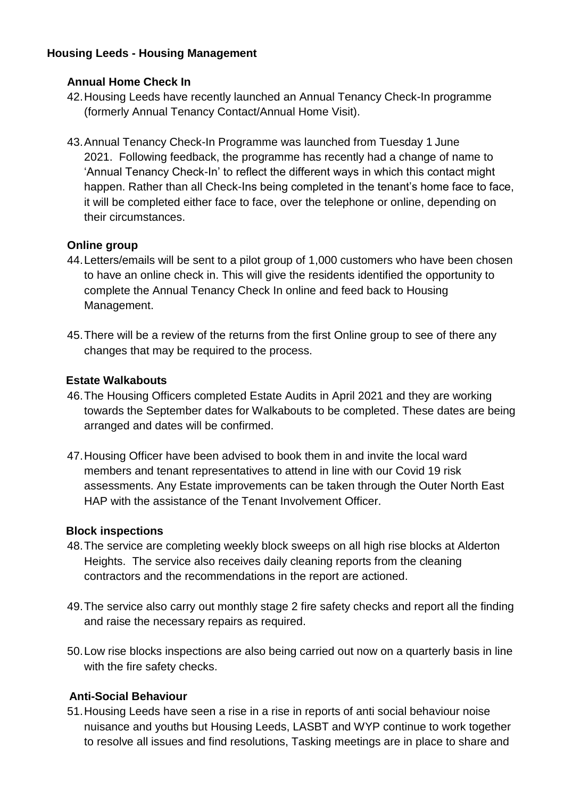### **Housing Leeds - Housing Management**

#### **Annual Home Check In**

- 42.Housing Leeds have recently launched an Annual Tenancy Check-In programme (formerly Annual Tenancy Contact/Annual Home Visit).
- 43.Annual Tenancy Check-In Programme was launched from Tuesday 1 June 2021. Following feedback, the programme has recently had a change of name to 'Annual Tenancy Check-In' to reflect the different ways in which this contact might happen. Rather than all Check-Ins being completed in the tenant's home face to face, it will be completed either face to face, over the telephone or online, depending on their circumstances.

#### **Online group**

- 44.Letters/emails will be sent to a pilot group of 1,000 customers who have been chosen to have an online check in. This will give the residents identified the opportunity to complete the Annual Tenancy Check In online and feed back to Housing Management.
- 45.There will be a review of the returns from the first Online group to see of there any changes that may be required to the process.

#### **Estate Walkabouts**

- 46.The Housing Officers completed Estate Audits in April 2021 and they are working towards the September dates for Walkabouts to be completed. These dates are being arranged and dates will be confirmed.
- 47.Housing Officer have been advised to book them in and invite the local ward members and tenant representatives to attend in line with our Covid 19 risk assessments. Any Estate improvements can be taken through the Outer North East HAP with the assistance of the Tenant Involvement Officer.

#### **Block inspections**

- 48.The service are completing weekly block sweeps on all high rise blocks at Alderton Heights. The service also receives daily cleaning reports from the cleaning contractors and the recommendations in the report are actioned.
- 49.The service also carry out monthly stage 2 fire safety checks and report all the finding and raise the necessary repairs as required.
- 50.Low rise blocks inspections are also being carried out now on a quarterly basis in line with the fire safety checks.

#### **Anti-Social Behaviour**

51.Housing Leeds have seen a rise in a rise in reports of anti social behaviour noise nuisance and youths but Housing Leeds, LASBT and WYP continue to work together to resolve all issues and find resolutions, Tasking meetings are in place to share and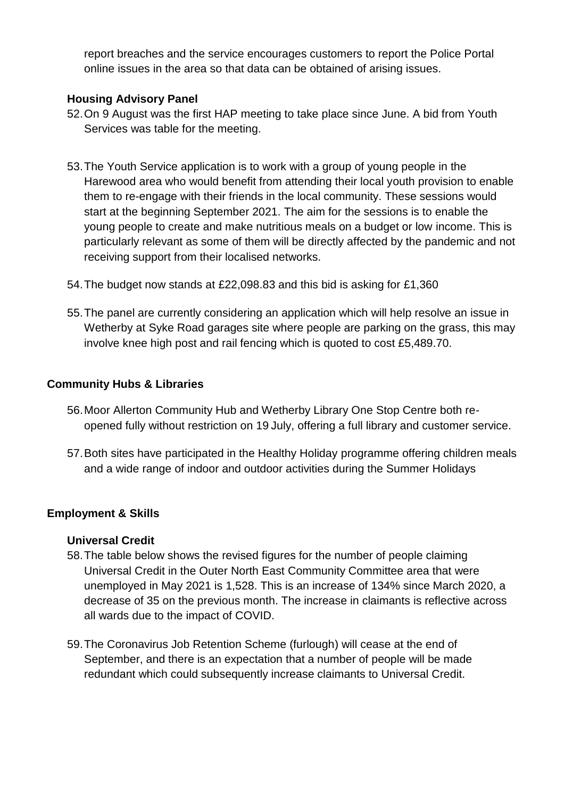report breaches and the service encourages customers to report the Police Portal online issues in the area so that data can be obtained of arising issues.

#### **Housing Advisory Panel**

- 52.On 9 August was the first HAP meeting to take place since June. A bid from Youth Services was table for the meeting.
- 53.The Youth Service application is to work with a group of young people in the Harewood area who would benefit from attending their local youth provision to enable them to re-engage with their friends in the local community. These sessions would start at the beginning September 2021. The aim for the sessions is to enable the young people to create and make nutritious meals on a budget or low income. This is particularly relevant as some of them will be directly affected by the pandemic and not receiving support from their localised networks.
- 54.The budget now stands at £22,098.83 and this bid is asking for £1,360
- 55.The panel are currently considering an application which will help resolve an issue in Wetherby at Syke Road garages site where people are parking on the grass, this may involve knee high post and rail fencing which is quoted to cost £5,489.70.

#### **Community Hubs & Libraries**

- 56.Moor Allerton Community Hub and Wetherby Library One Stop Centre both reopened fully without restriction on 19 July, offering a full library and customer service.
- 57.Both sites have participated in the Healthy Holiday programme offering children meals and a wide range of indoor and outdoor activities during the Summer Holidays

# **Employment & Skills**

#### **Universal Credit**

- 58.The table below shows the revised figures for the number of people claiming Universal Credit in the Outer North East Community Committee area that were unemployed in May 2021 is 1,528. This is an increase of 134% since March 2020, a decrease of 35 on the previous month. The increase in claimants is reflective across all wards due to the impact of COVID.
- 59.The Coronavirus Job Retention Scheme (furlough) will cease at the end of September, and there is an expectation that a number of people will be made redundant which could subsequently increase claimants to Universal Credit.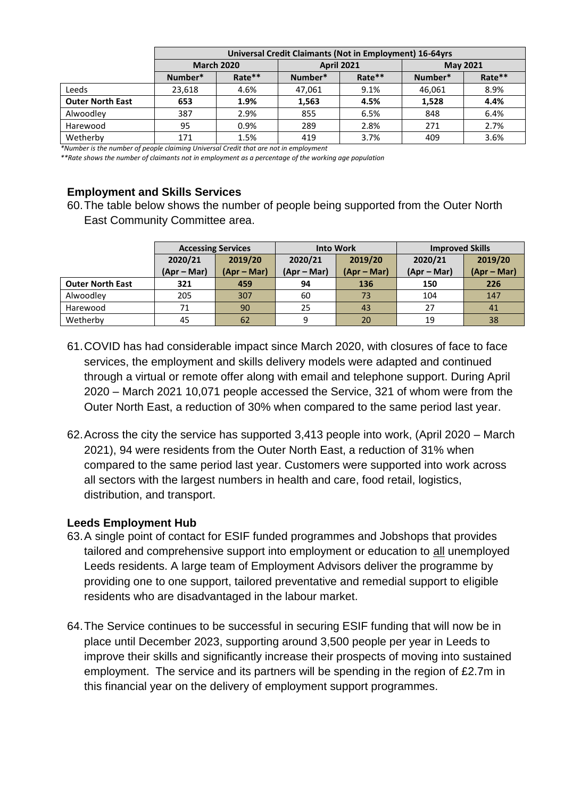|                         | Universal Credit Claimants (Not in Employment) 16-64yrs |        |                   |        |                 |        |
|-------------------------|---------------------------------------------------------|--------|-------------------|--------|-----------------|--------|
|                         | <b>March 2020</b>                                       |        | <b>April 2021</b> |        | <b>May 2021</b> |        |
|                         | Number*                                                 | Rate** | Number*           | Rate** | Number*         | Rate** |
| Leeds                   | 23,618                                                  | 4.6%   | 47,061            | 9.1%   | 46,061          | 8.9%   |
| <b>Outer North East</b> | 653                                                     | 1.9%   | 1,563             | 4.5%   | 1,528           | 4.4%   |
| Alwoodley               | 387                                                     | 2.9%   | 855               | 6.5%   | 848             | 6.4%   |
| Harewood                | 95                                                      | 0.9%   | 289               | 2.8%   | 271             | 2.7%   |
| Wetherby                | 171                                                     | 1.5%   | 419               | 3.7%   | 409             | 3.6%   |

*\*Number is the number of people claiming Universal Credit that are not in employment* 

*\*\*Rate shows the number of claimants not in employment as a percentage of the working age population*

#### **Employment and Skills Services**

60.The table below shows the number of people being supported from the Outer North East Community Committee area.

|                         | <b>Accessing Services</b> |             | <b>Into Work</b> |             | <b>Improved Skills</b> |             |
|-------------------------|---------------------------|-------------|------------------|-------------|------------------------|-------------|
|                         | 2020/21                   | 2019/20     | 2020/21          | 2019/20     | 2020/21                | 2019/20     |
|                         | $(Apr-Mar)$               | $(Apr-Mar)$ | (Apr – Mar)      | $(Apr-Mar)$ | $(Apr-Mar)$            | $(Apr-Mar)$ |
| <b>Outer North East</b> | 321                       | 459         | 94               | 136         | 150                    | 226         |
| Alwoodley               | 205                       | 307         | 60               | 73          | 104                    | 147         |
| Harewood                | 71                        | 90          | 25               | 43          | 27                     | 41          |
| Wetherby                | 45                        | 62          |                  | 20          | 19                     | 38          |

- 61.COVID has had considerable impact since March 2020, with closures of face to face services, the employment and skills delivery models were adapted and continued through a virtual or remote offer along with email and telephone support. During April 2020 – March 2021 10,071 people accessed the Service, 321 of whom were from the Outer North East, a reduction of 30% when compared to the same period last year.
- 62.Across the city the service has supported 3,413 people into work, (April 2020 March 2021), 94 were residents from the Outer North East, a reduction of 31% when compared to the same period last year. Customers were supported into work across all sectors with the largest numbers in health and care, food retail, logistics, distribution, and transport.

#### **Leeds Employment Hub**

- 63.A single point of contact for ESIF funded programmes and Jobshops that provides tailored and comprehensive support into employment or education to all unemployed Leeds residents. A large team of Employment Advisors deliver the programme by providing one to one support, tailored preventative and remedial support to eligible residents who are disadvantaged in the labour market.
- 64.The Service continues to be successful in securing ESIF funding that will now be in place until December 2023, supporting around 3,500 people per year in Leeds to improve their skills and significantly increase their prospects of moving into sustained employment. The service and its partners will be spending in the region of £2.7m in this financial year on the delivery of employment support programmes.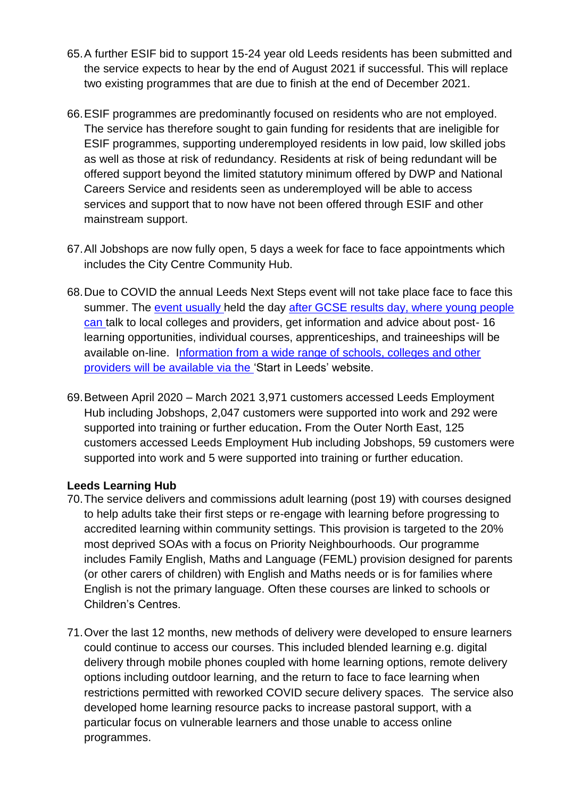- 65.A further ESIF bid to support 15-24 year old Leeds residents has been submitted and the service expects to hear by the end of August 2021 if successful. This will replace two existing programmes that are due to finish at the end of December 2021.
- 66.ESIF programmes are predominantly focused on residents who are not employed. The service has therefore sought to gain funding for residents that are ineligible for ESIF programmes, supporting underemployed residents in low paid, low skilled jobs as well as those at risk of redundancy. Residents at risk of being redundant will be offered support beyond the limited statutory minimum offered by DWP and National Careers Service and residents seen as underemployed will be able to access services and support that to now have not been offered through ESIF and other mainstream support.
- 67.All Jobshops are now fully open, 5 days a week for face to face appointments which includes the City Centre Community Hub.
- 68.Due to COVID the annual Leeds Next Steps event will not take place face to face this summer. The event usually held the day after GCSE results day, where young people can talk to local colleges and providers, get information and advice about post- 16 learning opportunities, individual courses, apprenticeships, and traineeships will be available on-line. Information from a wide range of schools, colleges and other providers will be available via the 'Start in Leeds' website.
- 69.Between April 2020 March 2021 3,971 customers accessed Leeds Employment Hub including Jobshops, 2,047 customers were supported into work and 292 were supported into training or further education**.** From the Outer North East, 125 customers accessed Leeds Employment Hub including Jobshops, 59 customers were supported into work and 5 were supported into training or further education.

#### **Leeds Learning Hub**

- 70.The service delivers and commissions adult learning (post 19) with courses designed to help adults take their first steps or re-engage with learning before progressing to accredited learning within community settings. This provision is targeted to the 20% most deprived SOAs with a focus on Priority Neighbourhoods. Our programme includes Family English, Maths and Language (FEML) provision designed for parents (or other carers of children) with English and Maths needs or is for families where English is not the primary language. Often these courses are linked to schools or Children's Centres.
- 71.Over the last 12 months, new methods of delivery were developed to ensure learners could continue to access our courses. This included blended learning e.g. digital delivery through mobile phones coupled with home learning options, remote delivery options including outdoor learning, and the return to face to face learning when restrictions permitted with reworked COVID secure delivery spaces. The service also developed home learning resource packs to increase pastoral support, with a particular focus on vulnerable learners and those unable to access online programmes.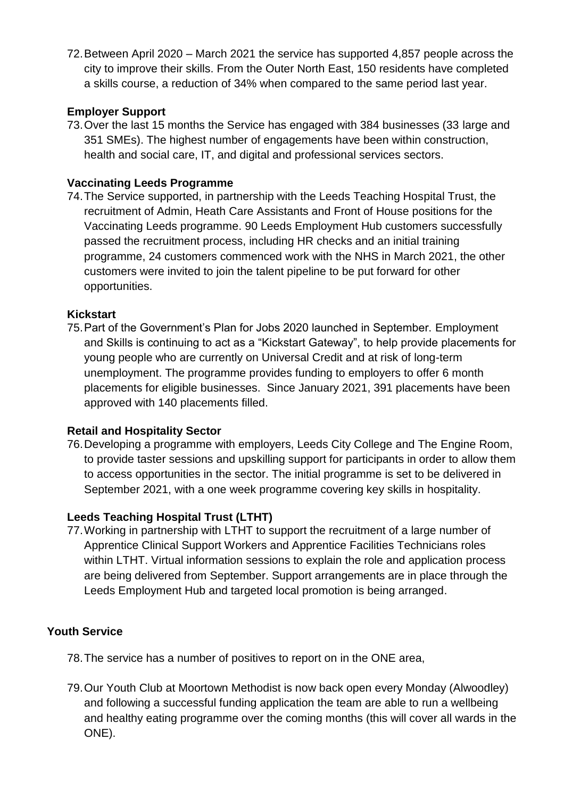72.Between April 2020 – March 2021 the service has supported 4,857 people across the city to improve their skills. From the Outer North East, 150 residents have completed a skills course, a reduction of 34% when compared to the same period last year.

#### **Employer Support**

73.Over the last 15 months the Service has engaged with 384 businesses (33 large and 351 SMEs). The highest number of engagements have been within construction, health and social care, IT, and digital and professional services sectors.

#### **Vaccinating Leeds Programme**

74.The Service supported, in partnership with the Leeds Teaching Hospital Trust, the recruitment of Admin, Heath Care Assistants and Front of House positions for the Vaccinating Leeds programme. 90 Leeds Employment Hub customers successfully passed the recruitment process, including HR checks and an initial training programme, 24 customers commenced work with the NHS in March 2021, the other customers were invited to join the talent pipeline to be put forward for other opportunities.

#### **Kickstart**

75.Part of the Government's Plan for Jobs 2020 launched in September. Employment and Skills is continuing to act as a "Kickstart Gateway", to help provide placements for young people who are currently on Universal Credit and at risk of long-term unemployment. The programme provides funding to employers to offer 6 month placements for eligible businesses. Since January 2021, 391 placements have been approved with 140 placements filled.

#### **Retail and Hospitality Sector**

76.Developing a programme with employers, Leeds City College and The Engine Room, to provide taster sessions and upskilling support for participants in order to allow them to access opportunities in the sector. The initial programme is set to be delivered in September 2021, with a one week programme covering key skills in hospitality.

# **Leeds Teaching Hospital Trust (LTHT)**

77.Working in partnership with LTHT to support the recruitment of a large number of Apprentice Clinical Support Workers and Apprentice Facilities Technicians roles within LTHT. Virtual information sessions to explain the role and application process are being delivered from September. Support arrangements are in place through the Leeds Employment Hub and targeted local promotion is being arranged.

# **Youth Service**

- 78.The service has a number of positives to report on in the ONE area,
- 79.Our Youth Club at Moortown Methodist is now back open every Monday (Alwoodley) and following a successful funding application the team are able to run a wellbeing and healthy eating programme over the coming months (this will cover all wards in the ONE).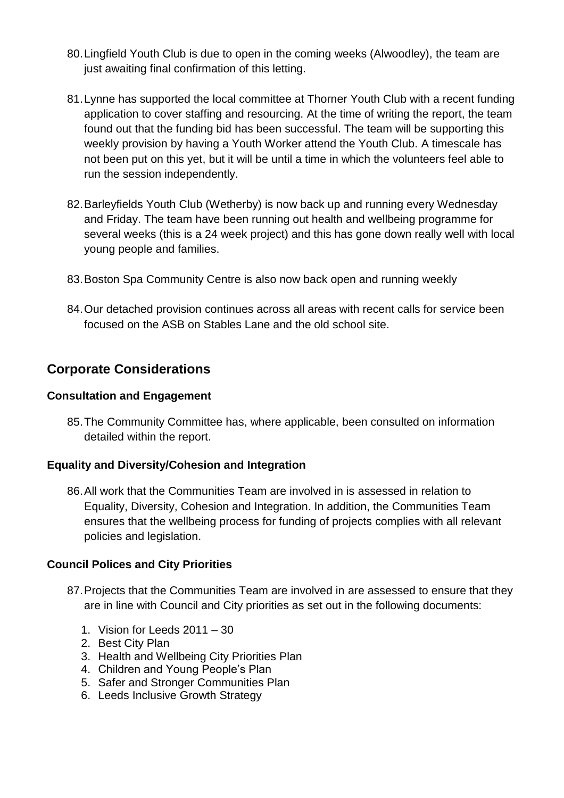- 80.Lingfield Youth Club is due to open in the coming weeks (Alwoodley), the team are just awaiting final confirmation of this letting.
- 81.Lynne has supported the local committee at Thorner Youth Club with a recent funding application to cover staffing and resourcing. At the time of writing the report, the team found out that the funding bid has been successful. The team will be supporting this weekly provision by having a Youth Worker attend the Youth Club. A timescale has not been put on this yet, but it will be until a time in which the volunteers feel able to run the session independently.
- 82.Barleyfields Youth Club (Wetherby) is now back up and running every Wednesday and Friday. The team have been running out health and wellbeing programme for several weeks (this is a 24 week project) and this has gone down really well with local young people and families.
- 83.Boston Spa Community Centre is also now back open and running weekly
- 84.Our detached provision continues across all areas with recent calls for service been focused on the ASB on Stables Lane and the old school site.

# **Corporate Considerations**

#### **Consultation and Engagement**

85.The Community Committee has, where applicable, been consulted on information detailed within the report.

#### **Equality and Diversity/Cohesion and Integration**

86.All work that the Communities Team are involved in is assessed in relation to Equality, Diversity, Cohesion and Integration. In addition, the Communities Team ensures that the wellbeing process for funding of projects complies with all relevant policies and legislation.

#### **Council Polices and City Priorities**

- 87.Projects that the Communities Team are involved in are assessed to ensure that they are in line with Council and City priorities as set out in the following documents:
	- 1. Vision for Leeds 2011 30
	- 2. Best City Plan
	- 3. Health and Wellbeing City Priorities Plan
	- 4. Children and Young People's Plan
	- 5. Safer and Stronger Communities Plan
	- 6. Leeds Inclusive Growth Strategy